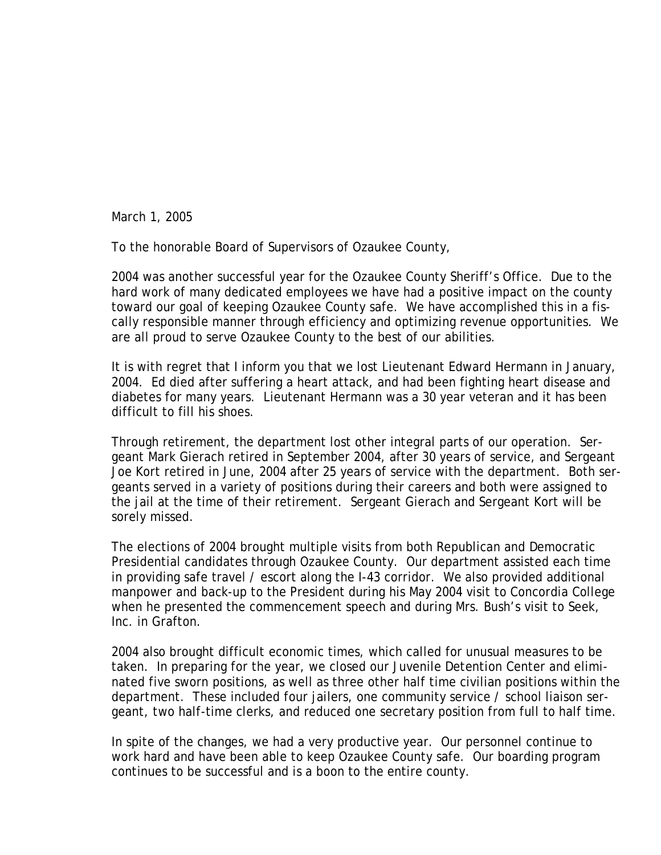March 1, 2005

To the honorable Board of Supervisors of Ozaukee County,

2004 was another successful year for the Ozaukee County Sheriff's Office. Due to the hard work of many dedicated employees we have had a positive impact on the county toward our goal of keeping Ozaukee County safe. We have accomplished this in a fiscally responsible manner through efficiency and optimizing revenue opportunities. We are all proud to serve Ozaukee County to the best of our abilities.

It is with regret that I inform you that we lost Lieutenant Edward Hermann in January, 2004. Ed died after suffering a heart attack, and had been fighting heart disease and diabetes for many years. Lieutenant Hermann was a 30 year veteran and it has been difficult to fill his shoes.

Through retirement, the department lost other integral parts of our operation. Sergeant Mark Gierach retired in September 2004, after 30 years of service, and Sergeant Joe Kort retired in June, 2004 after 25 years of service with the department. Both sergeants served in a variety of positions during their careers and both were assigned to the jail at the time of their retirement. Sergeant Gierach and Sergeant Kort will be sorely missed.

The elections of 2004 brought multiple visits from both Republican and Democratic Presidential candidates through Ozaukee County. Our department assisted each time in providing safe travel / escort along the I-43 corridor. We also provided additional manpower and back-up to the President during his May 2004 visit to Concordia College when he presented the commencement speech and during Mrs. Bush's visit to Seek, Inc. in Grafton.

2004 also brought difficult economic times, which called for unusual measures to be taken. In preparing for the year, we closed our Juvenile Detention Center and eliminated five sworn positions, as well as three other half time civilian positions within the department. These included four jailers, one community service / school liaison sergeant, two half-time clerks, and reduced one secretary position from full to half time.

In spite of the changes, we had a very productive year. Our personnel continue to work hard and have been able to keep Ozaukee County safe. Our boarding program continues to be successful and is a boon to the entire county.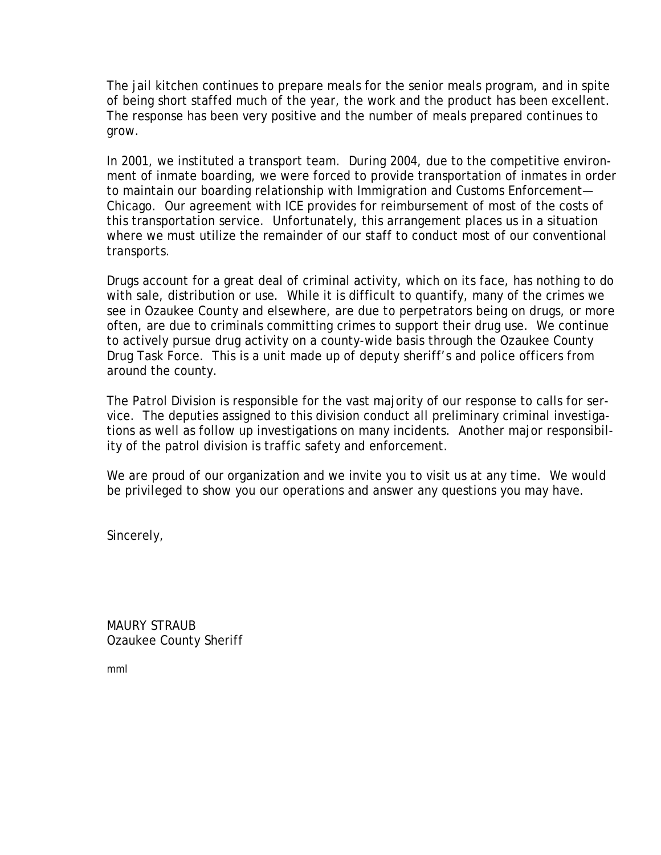The jail kitchen continues to prepare meals for the senior meals program, and in spite of being short staffed much of the year, the work and the product has been excellent. The response has been very positive and the number of meals prepared continues to grow.

In 2001, we instituted a transport team. During 2004, due to the competitive environment of inmate boarding, we were forced to provide transportation of inmates in order to maintain our boarding relationship with Immigration and Customs Enforcement— Chicago. Our agreement with ICE provides for reimbursement of most of the costs of this transportation service. Unfortunately, this arrangement places us in a situation where we must utilize the remainder of our staff to conduct most of our conventional transports.

Drugs account for a great deal of criminal activity, which on its face, has nothing to do with sale, distribution or use. While it is difficult to quantify, many of the crimes we see in Ozaukee County and elsewhere, are due to perpetrators being on drugs, or more often, are due to criminals committing crimes to support their drug use. We continue to actively pursue drug activity on a county-wide basis through the Ozaukee County Drug Task Force. This is a unit made up of deputy sheriff's and police officers from around the county.

The Patrol Division is responsible for the vast majority of our response to calls for service. The deputies assigned to this division conduct all preliminary criminal investigations as well as follow up investigations on many incidents. Another major responsibility of the patrol division is traffic safety and enforcement.

We are proud of our organization and we invite you to visit us at any time. We would be privileged to show you our operations and answer any questions you may have.

Sincerely,

MAURY STRAUB Ozaukee County Sheriff

mml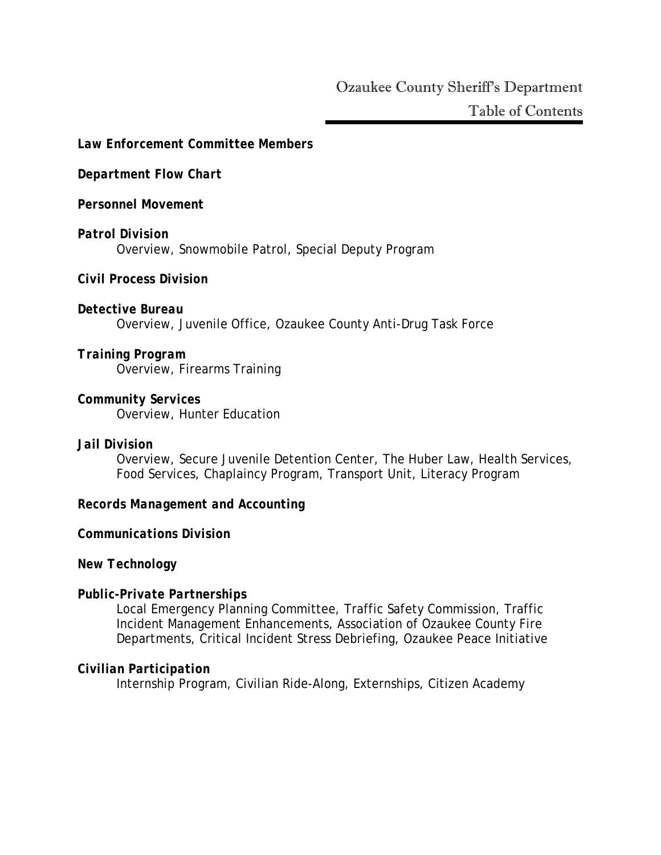#### *Law Enforcement Committee Members*

#### *Department Flow Chart*

*Personnel Movement* 

## *Patrol Division*  Overview, Snowmobile Patrol, Special Deputy Program

*Civil Process Division* 

### *Detective Bureau*

Overview, Juvenile Office, Ozaukee County Anti-Drug Task Force

#### *Training Program*  Overview, Firearms Training

*Community Services*  Overview, Hunter Education

#### *Jail Division*

Overview, Secure Juvenile Detention Center, The Huber Law, Health Services, Food Services, Chaplaincy Program, Transport Unit, Literacy Program

#### *Records Management and Accounting*

#### *Communications Division*

#### *New Technology*

#### *Public-Private Partnerships*

Local Emergency Planning Committee, Traffic Safety Commission, Traffic Incident Management Enhancements, Association of Ozaukee County Fire Departments, Critical Incident Stress Debriefing, Ozaukee Peace Initiative

#### *Civilian Participation*

Internship Program, Civilian Ride-Along, Externships, Citizen Academy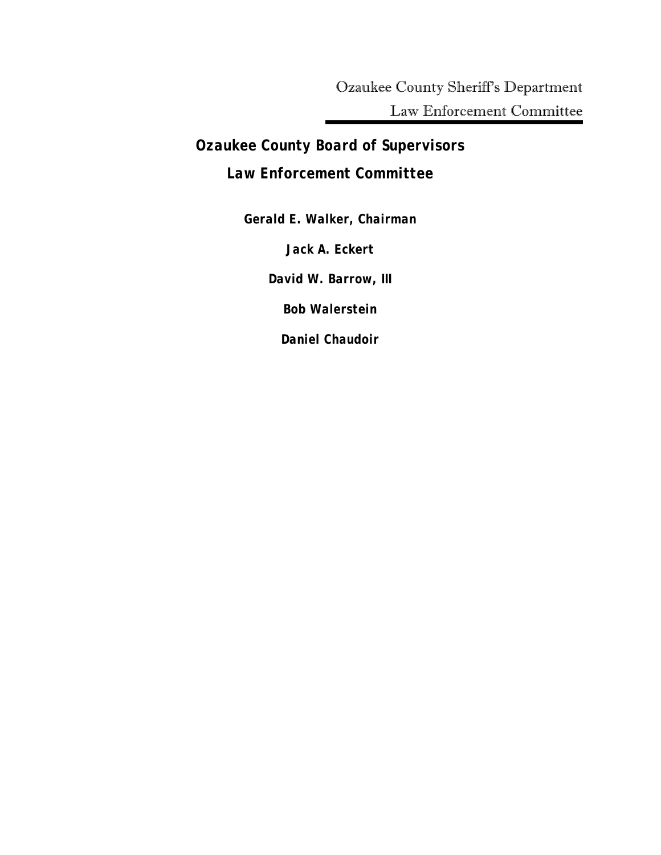Ozaukee County Sheriff's Department Law Enforcement Committee

*Ozaukee County Board of Supervisors Law Enforcement Committee*

> *Gerald E. Walker, Chairman Jack A. Eckert David W. Barrow, III Bob Walerstein Daniel Chaudoir*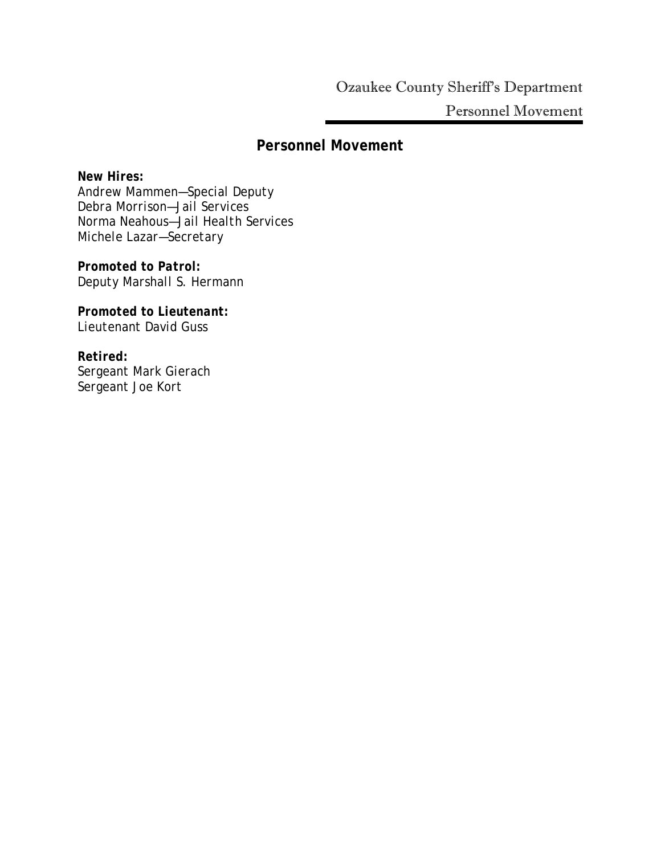# *Personnel Movement*

*New Hires: Andrew Mammen—Special Deputy Debra Morrison—Jail Services Norma Neahous—Jail Health Services Michele Lazar—Secretary* 

*Promoted to Patrol: Deputy Marshall S. Hermann* 

*Promoted to Lieutenant: Lieutenant David Guss* 

*Retired: Sergeant Mark Gierach Sergeant Joe Kort*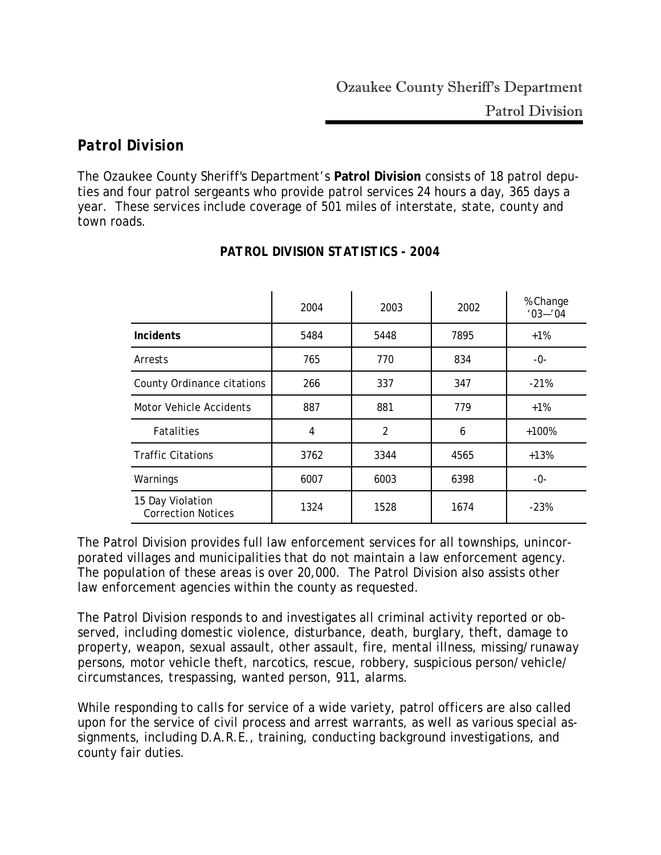# *Patrol Division*

The Ozaukee County Sheriff's Department's **Patrol Division** consists of 18 patrol deputies and four patrol sergeants who provide patrol services 24 hours a day, 365 days a year. These services include coverage of 501 miles of interstate, state, county and town roads.

|                                               | 2004 | 2003 | 2002 | % Change<br>$'03 - '04$ |
|-----------------------------------------------|------|------|------|-------------------------|
| <b>Incidents</b>                              | 5484 | 5448 | 7895 | $+1%$                   |
| Arrests                                       | 765  | 770  | 834  | -0-                     |
| County Ordinance citations                    | 266  | 337  | 347  | $-21%$                  |
| Motor Vehicle Accidents                       | 887  | 881  | 779  | $+1%$                   |
| <b>Fatalities</b>                             | 4    | 2    | 6    | $+100%$                 |
| <b>Traffic Citations</b>                      | 3762 | 3344 | 4565 | $+13%$                  |
| Warnings                                      | 6007 | 6003 | 6398 | -0-                     |
| 15 Day Violation<br><b>Correction Notices</b> | 1324 | 1528 | 1674 | $-23%$                  |

# *PATROL DIVISION STATISTICS - 2004*

The Patrol Division provides full law enforcement services for all townships, unincorporated villages and municipalities that do not maintain a law enforcement agency. The population of these areas is over 20,000. The Patrol Division also assists other law enforcement agencies within the county as requested.

The Patrol Division responds to and investigates all criminal activity reported or observed, including domestic violence, disturbance, death, burglary, theft, damage to property, weapon, sexual assault, other assault, fire, mental illness, missing/runaway persons, motor vehicle theft, narcotics, rescue, robbery, suspicious person/vehicle/ circumstances, trespassing, wanted person, 911, alarms.

While responding to calls for service of a wide variety, patrol officers are also called upon for the service of civil process and arrest warrants, as well as various special assignments, including D.A.R.E., training, conducting background investigations, and county fair duties.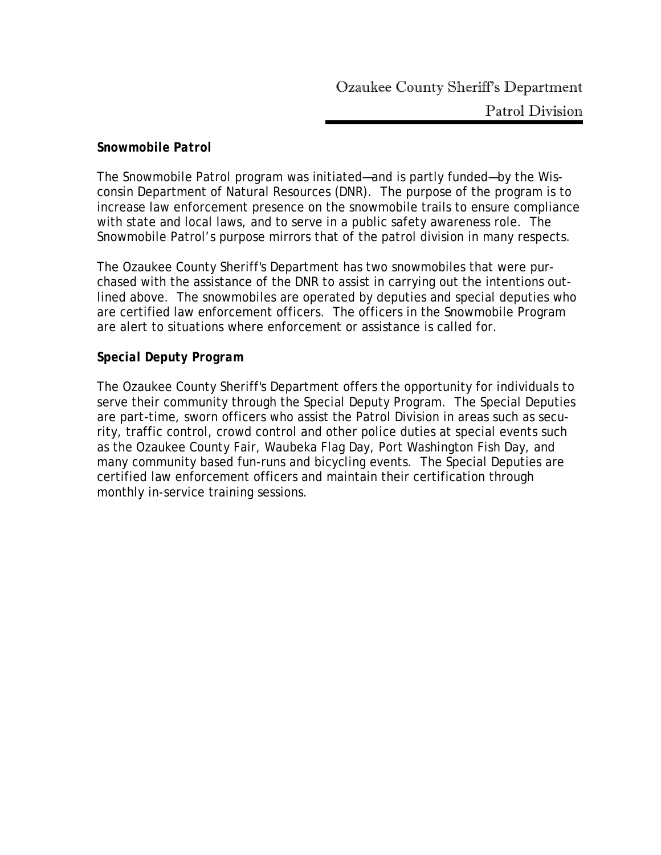#### *Snowmobile Patrol*

The Snowmobile Patrol program was initiated—and is partly funded—by the Wisconsin Department of Natural Resources (DNR). The purpose of the program is to increase law enforcement presence on the snowmobile trails to ensure compliance with state and local laws, and to serve in a public safety awareness role. The Snowmobile Patrol's purpose mirrors that of the patrol division in many respects.

The Ozaukee County Sheriff's Department has two snowmobiles that were purchased with the assistance of the DNR to assist in carrying out the intentions outlined above. The snowmobiles are operated by deputies and special deputies who are certified law enforcement officers. The officers in the Snowmobile Program are alert to situations where enforcement or assistance is called for.

#### *Special Deputy Program*

The Ozaukee County Sheriff's Department offers the opportunity for individuals to serve their community through the Special Deputy Program. The Special Deputies are part-time, sworn officers who assist the Patrol Division in areas such as security, traffic control, crowd control and other police duties at special events such as the Ozaukee County Fair, Waubeka Flag Day, Port Washington Fish Day, and many community based fun-runs and bicycling events. The Special Deputies are certified law enforcement officers and maintain their certification through monthly in-service training sessions.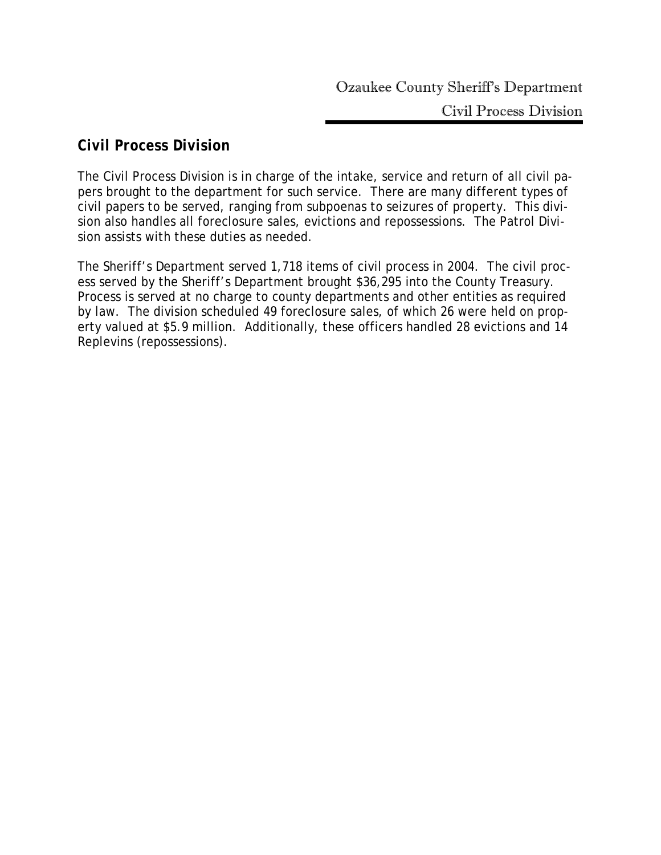# *Civil Process Division*

The Civil Process Division is in charge of the intake, service and return of all civil papers brought to the department for such service. There are many different types of civil papers to be served, ranging from subpoenas to seizures of property. This division also handles all foreclosure sales, evictions and repossessions. The Patrol Division assists with these duties as needed.

The Sheriff's Department served 1,718 items of civil process in 2004. The civil process served by the Sheriff's Department brought \$36,295 into the County Treasury. Process is served at no charge to county departments and other entities as required by law. The division scheduled 49 foreclosure sales, of which 26 were held on property valued at \$5.9 million. Additionally, these officers handled 28 evictions and 14 Replevins (repossessions).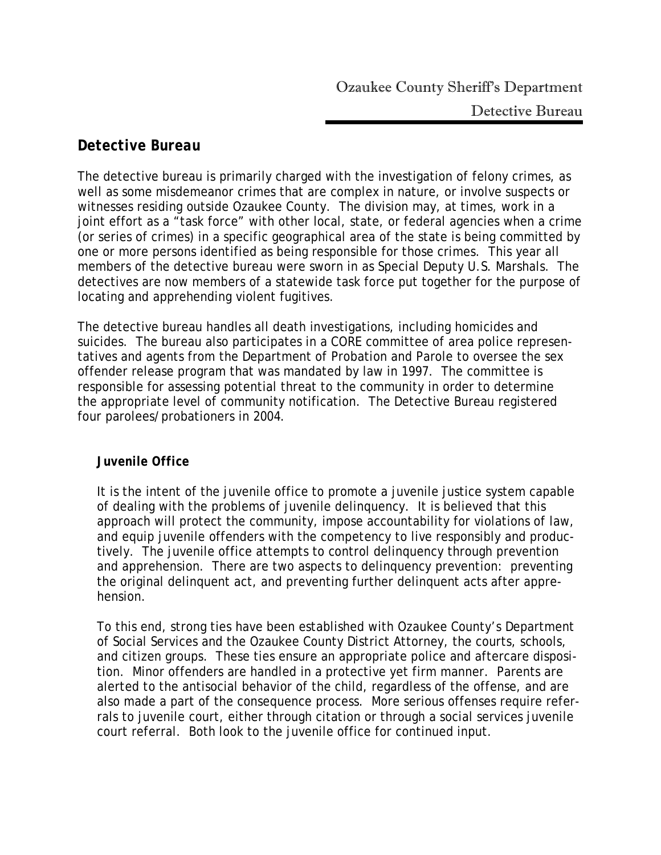# *Detective Bureau*

The detective bureau is primarily charged with the investigation of felony crimes, as well as some misdemeanor crimes that are complex in nature, or involve suspects or witnesses residing outside Ozaukee County. The division may, at times, work in a joint effort as a "task force" with other local, state, or federal agencies when a crime (or series of crimes) in a specific geographical area of the state is being committed by one or more persons identified as being responsible for those crimes. This year all members of the detective bureau were sworn in as Special Deputy U.S. Marshals. The detectives are now members of a statewide task force put together for the purpose of locating and apprehending violent fugitives.

The detective bureau handles all death investigations, including homicides and suicides. The bureau also participates in a CORE committee of area police representatives and agents from the Department of Probation and Parole to oversee the sex offender release program that was mandated by law in 1997. The committee is responsible for assessing potential threat to the community in order to determine the appropriate level of community notification. The Detective Bureau registered four parolees/probationers in 2004.

### *Juvenile Office*

It is the intent of the juvenile office to promote a juvenile justice system capable of dealing with the problems of juvenile delinquency. It is believed that this approach will protect the community, impose accountability for violations of law, and equip juvenile offenders with the competency to live responsibly and productively. The juvenile office attempts to control delinquency through prevention and apprehension. There are two aspects to delinquency prevention: preventing the original delinquent act, and preventing further delinquent acts after apprehension.

To this end, strong ties have been established with Ozaukee County's Department of Social Services and the Ozaukee County District Attorney, the courts, schools, and citizen groups. These ties ensure an appropriate police and aftercare disposition. Minor offenders are handled in a protective yet firm manner. Parents are alerted to the antisocial behavior of the child, regardless of the offense, and are also made a part of the consequence process. More serious offenses require referrals to juvenile court, either through citation or through a social services juvenile court referral. Both look to the juvenile office for continued input.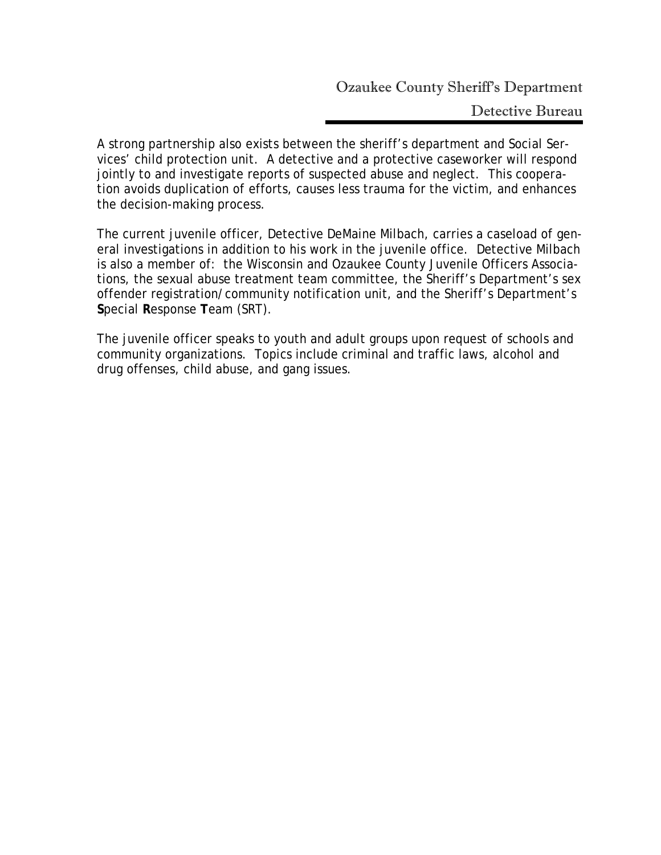Detective Bureau

A strong partnership also exists between the sheriff's department and Social Services' child protection unit. A detective and a protective caseworker will respond jointly to and investigate reports of suspected abuse and neglect. This cooperation avoids duplication of efforts, causes less trauma for the victim, and enhances the decision-making process.

The current juvenile officer, Detective DeMaine Milbach, carries a caseload of general investigations in addition to his work in the juvenile office. Detective Milbach is also a member of: the Wisconsin and Ozaukee County Juvenile Officers Associations, the sexual abuse treatment team committee, the Sheriff's Department's sex offender registration/community notification unit, and the Sheriff's Department's **S**pecial **R**esponse **T**eam (SRT).

The juvenile officer speaks to youth and adult groups upon request of schools and community organizations. Topics include criminal and traffic laws, alcohol and drug offenses, child abuse, and gang issues.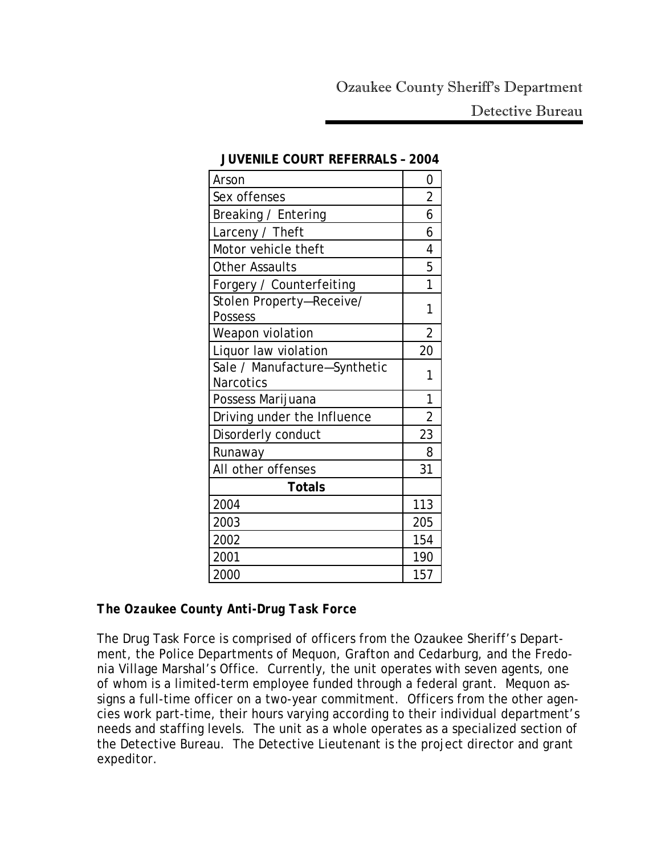Detective Bureau

| Arson                                            | 0              |
|--------------------------------------------------|----------------|
| Sex offenses                                     | $\overline{2}$ |
| Breaking / Entering                              | 6              |
| Larceny / Theft                                  | 6              |
| Motor vehicle theft                              | 4              |
| <b>Other Assaults</b>                            | 5              |
| Forgery / Counterfeiting                         | 1              |
| Stolen Property-Receive/<br>Possess              | 1              |
| Weapon violation                                 | $\overline{2}$ |
| Liquor law violation                             | 20             |
| Sale / Manufacture-Synthetic<br><b>Narcotics</b> | 1              |
| Possess Marijuana                                | 1              |
| Driving under the Influence                      | $\overline{2}$ |
| Disorderly conduct                               | 23             |
| Runaway                                          | 8              |
| All other offenses                               | 31             |
| <b>Totals</b>                                    |                |
| 2004                                             | 113            |
| 2003                                             | 205            |
| 2002                                             | 154            |
| 2001                                             | 190            |
| 2000                                             | 157            |

#### **JUVENILE COURT REFERRALS – 2004**

### *The Ozaukee County Anti-Drug Task Force*

The Drug Task Force is comprised of officers from the Ozaukee Sheriff's Department, the Police Departments of Mequon, Grafton and Cedarburg, and the Fredonia Village Marshal's Office. Currently, the unit operates with seven agents, one of whom is a limited-term employee funded through a federal grant. Mequon assigns a full-time officer on a two-year commitment. Officers from the other agencies work part-time, their hours varying according to their individual department's needs and staffing levels. The unit as a whole operates as a specialized section of the Detective Bureau. The Detective Lieutenant is the project director and grant expeditor.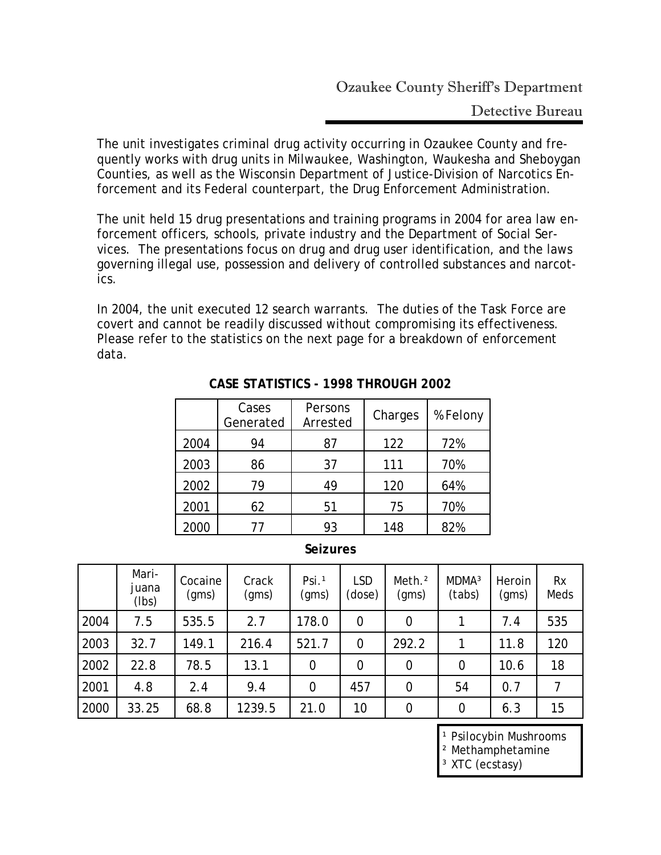Detective Bureau

The unit investigates criminal drug activity occurring in Ozaukee County and frequently works with drug units in Milwaukee, Washington, Waukesha and Sheboygan Counties, as well as the Wisconsin Department of Justice-Division of Narcotics Enforcement and its Federal counterpart, the Drug Enforcement Administration.

The unit held 15 drug presentations and training programs in 2004 for area law enforcement officers, schools, private industry and the Department of Social Services. The presentations focus on drug and drug user identification, and the laws governing illegal use, possession and delivery of controlled substances and narcotics.

In 2004, the unit executed 12 search warrants. The duties of the Task Force are covert and cannot be readily discussed without compromising its effectiveness. Please refer to the statistics on the next page for a breakdown of enforcement data.

|      | Cases<br>Generated | Persons<br>Arrested | Charges | % Felony |
|------|--------------------|---------------------|---------|----------|
| 2004 | 94                 | 87                  | 122     | 72%      |
| 2003 | 86                 | 37                  | 111     | 70%      |
| 2002 | 79                 | 49                  | 120     | 64%      |
| 2001 | 62                 | 51                  | 75      | 70%      |
| 2000 | 77                 | 93                  | 148     | 82%      |

## **CASE STATISTICS - 1998 THROUGH 2002**

#### **Seizures**

|      | Mari-<br>juana<br>(Ibs) | Cocaine<br>(gms) | Crack<br>(gms) | Psi. <sup>1</sup><br>(gms) | <b>LSD</b><br>(dose) | Meth. <sup>2</sup><br>(gms) | MDMA <sup>3</sup><br>(tabs) | Heroin<br>(gms) | <b>Rx</b><br>Meds |
|------|-------------------------|------------------|----------------|----------------------------|----------------------|-----------------------------|-----------------------------|-----------------|-------------------|
| 2004 | 7.5                     | 535.5            | 2.7            | 178.0                      | $\mathbf 0$          | $\overline{0}$              |                             | 7.4             | 535               |
| 2003 | 32.7                    | 149.1            | 216.4          | 521.7                      | $\overline{0}$       | 292.2                       |                             | 11.8            | 120               |
| 2002 | 22.8                    | 78.5             | 13.1           | $\overline{0}$             | $\mathbf 0$          | $\overline{0}$              | $\overline{0}$              | 10.6            | 18                |
| 2001 | 4.8                     | 2.4              | 9.4            | $\mathbf 0$                | 457                  | $\overline{0}$              | 54                          | 0.7             |                   |
| 2000 | 33.25                   | 68.8             | 1239.5         | 21.0                       | 10                   | $\overline{0}$              | 0                           | 6.3             | 15                |

<sup>1</sup> Psilocybin Mushrooms

² Methamphetamine

³ XTC (ecstasy)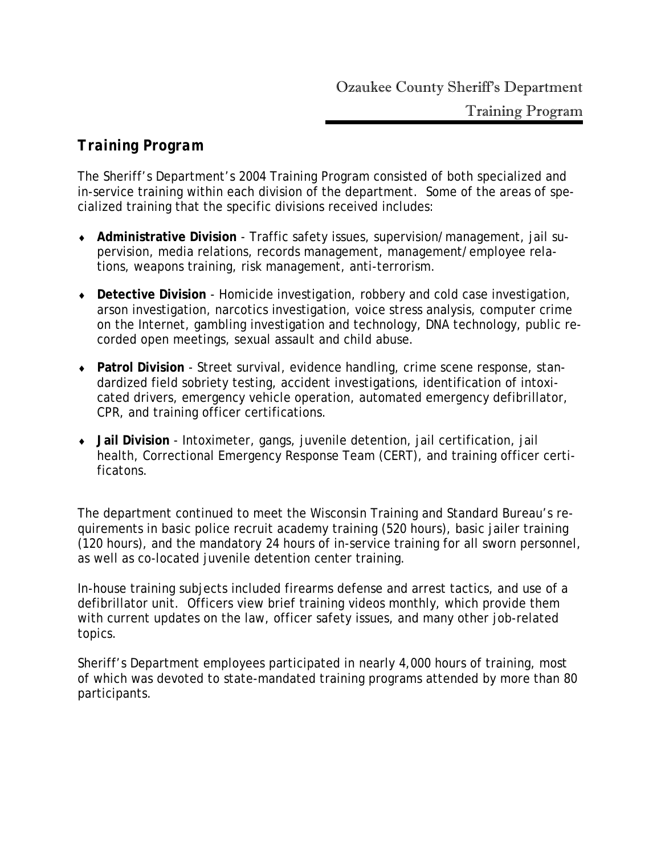# *Training Program*

The Sheriff's Department's 2004 Training Program consisted of both specialized and in-service training within each division of the department. Some of the areas of specialized training that the specific divisions received includes:

- ♦ **Administrative Division** Traffic safety issues, supervision/management, jail supervision, media relations, records management, management/employee relations, weapons training, risk management, anti-terrorism.
- ♦ **Detective Division** Homicide investigation, robbery and cold case investigation, arson investigation, narcotics investigation, voice stress analysis, computer crime on the Internet, gambling investigation and technology, DNA technology, public recorded open meetings, sexual assault and child abuse.
- ♦ **Patrol Division** Street survival, evidence handling, crime scene response, standardized field sobriety testing, accident investigations, identification of intoxicated drivers, emergency vehicle operation, automated emergency defibrillator, CPR, and training officer certifications.
- ♦ **Jail Division** Intoximeter, gangs, juvenile detention, jail certification, jail health, Correctional Emergency Response Team (CERT), and training officer certificatons.

The department continued to meet the Wisconsin Training and Standard Bureau's requirements in basic police recruit academy training (520 hours), basic jailer training (120 hours), and the mandatory 24 hours of in-service training for all sworn personnel, as well as co-located juvenile detention center training.

In-house training subjects included firearms defense and arrest tactics, and use of a defibrillator unit. Officers view brief training videos monthly, which provide them with current updates on the law, officer safety issues, and many other job-related topics.

Sheriff's Department employees participated in nearly 4,000 hours of training, most of which was devoted to state-mandated training programs attended by more than 80 participants.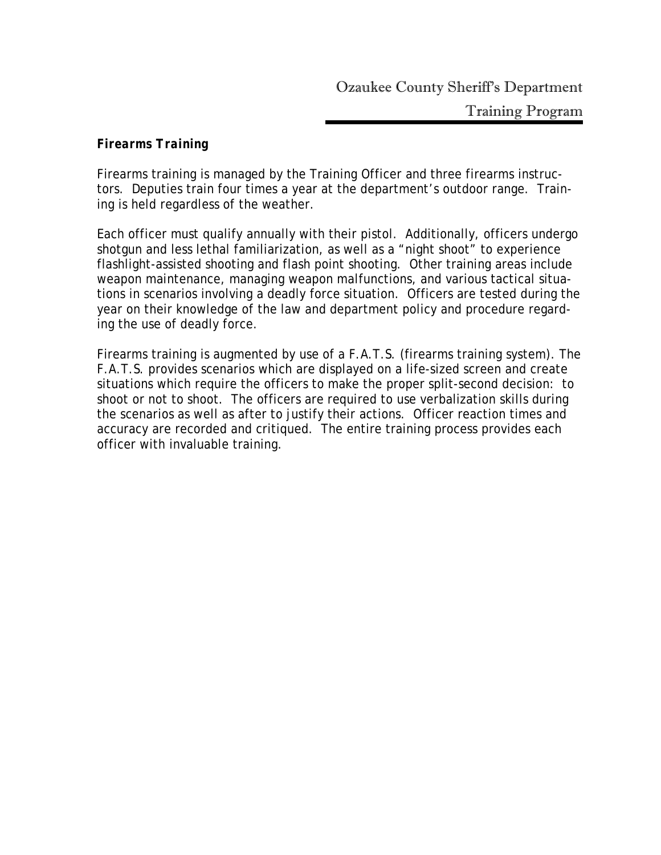## *Firearms Training*

Firearms training is managed by the Training Officer and three firearms instructors. Deputies train four times a year at the department's outdoor range. Training is held regardless of the weather.

Each officer must qualify annually with their pistol. Additionally, officers undergo shotgun and less lethal familiarization, as well as a "night shoot" to experience flashlight-assisted shooting and flash point shooting. Other training areas include weapon maintenance, managing weapon malfunctions, and various tactical situations in scenarios involving a deadly force situation. Officers are tested during the year on their knowledge of the law and department policy and procedure regarding the use of deadly force.

Firearms training is augmented by use of a F.A.T.S. (firearms training system). The F.A.T.S. provides scenarios which are displayed on a life-sized screen and create situations which require the officers to make the proper split-second decision: to shoot or not to shoot. The officers are required to use verbalization skills during the scenarios as well as after to justify their actions. Officer reaction times and accuracy are recorded and critiqued. The entire training process provides each officer with invaluable training.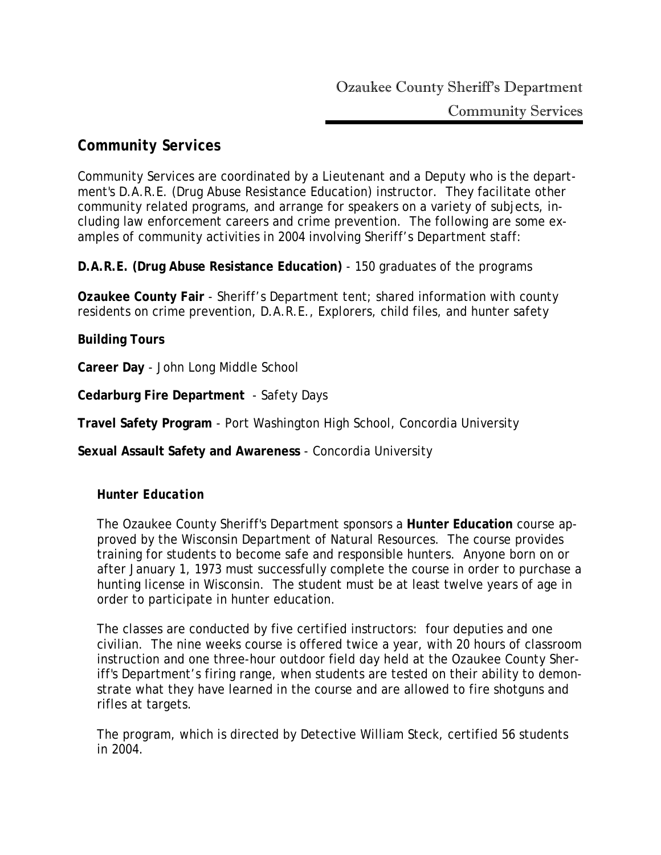# *Community Services*

Community Services are coordinated by a Lieutenant and a Deputy who is the department's D.A.R.E. (Drug Abuse Resistance Education) instructor. They facilitate other community related programs, and arrange for speakers on a variety of subjects, including law enforcement careers and crime prevention. The following are some examples of community activities in 2004 involving Sheriff's Department staff:

**D.A.R.E. (Drug Abuse Resistance Education)** - 150 graduates of the programs

**Ozaukee County Fair** - Sheriff's Department tent; shared information with county residents on crime prevention, D.A.R.E., Explorers, child files, and hunter safety

#### **Building Tours**

**Career Day** - John Long Middle School

**Cedarburg Fire Department** - Safety Days

**Travel Safety Program** - Port Washington High School, Concordia University

**Sexual Assault Safety and Awareness** - Concordia University

### *Hunter Education*

The Ozaukee County Sheriff's Department sponsors a **Hunter Education** course approved by the Wisconsin Department of Natural Resources. The course provides training for students to become safe and responsible hunters. Anyone born on or after January 1, 1973 must successfully complete the course in order to purchase a hunting license in Wisconsin. The student must be at least twelve years of age in order to participate in hunter education.

The classes are conducted by five certified instructors: four deputies and one civilian. The nine weeks course is offered twice a year, with 20 hours of classroom instruction and one three-hour outdoor field day held at the Ozaukee County Sheriff's Department's firing range, when students are tested on their ability to demonstrate what they have learned in the course and are allowed to fire shotguns and rifles at targets.

The program, which is directed by Detective William Steck, certified 56 students in 2004.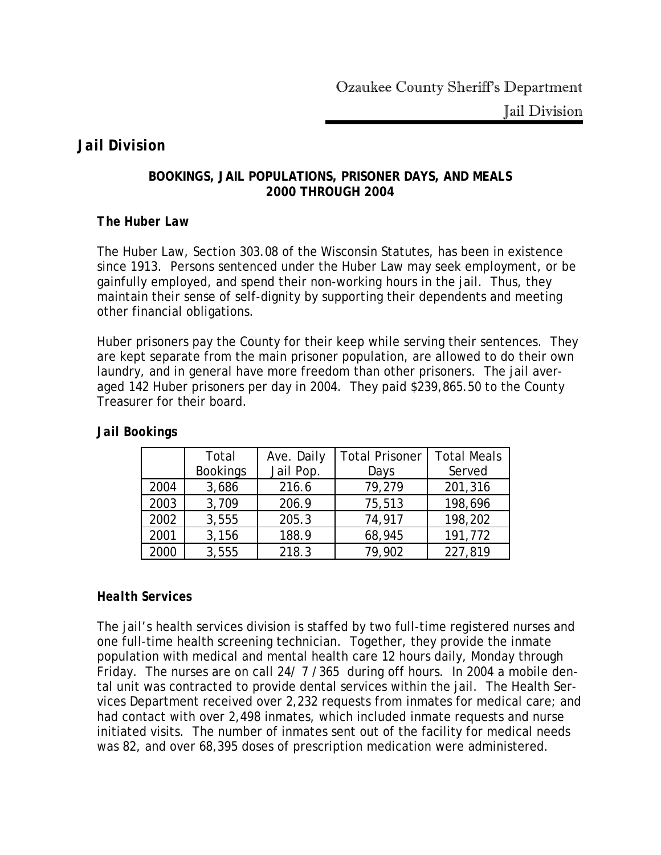## *Jail Division*

#### **BOOKINGS, JAIL POPULATIONS, PRISONER DAYS, AND MEALS 2000 THROUGH 2004**

## *The Huber Law*

The Huber Law, Section 303.08 of the Wisconsin Statutes, has been in existence since 1913. Persons sentenced under the Huber Law may seek employment, or be gainfully employed, and spend their non-working hours in the jail. Thus, they maintain their sense of self-dignity by supporting their dependents and meeting other financial obligations.

Huber prisoners pay the County for their keep while serving their sentences. They are kept separate from the main prisoner population, are allowed to do their own laundry, and in general have more freedom than other prisoners. The jail averaged 142 Huber prisoners per day in 2004. They paid \$239,865.50 to the County Treasurer for their board.

|      | Total           | Ave. Daily | <b>Total Prisoner</b> | <b>Total Meals</b> |
|------|-----------------|------------|-----------------------|--------------------|
|      | <b>Bookings</b> | Jail Pop.  | Days                  | Served             |
| 2004 | 3,686           | 216.6      | 79,279                | 201,316            |
| 2003 | 3,709           | 206.9      | 75,513                | 198,696            |
| 2002 | 3,555           | 205.3      | 74,917                | 198,202            |
| 2001 | 3,156           | 188.9      | 68,945                | 191,772            |
| 2000 | 3,555           | 218.3      | 79,902                | 227,819            |

## *Jail Bookings*

## *Health Services*

The jail's health services division is staffed by two full-time registered nurses and one full-time health screening technician. Together, they provide the inmate population with medical and mental health care 12 hours daily, Monday through Friday. The nurses are on call 24/ 7 /365 during off hours. In 2004 a mobile dental unit was contracted to provide dental services within the jail. The Health Services Department received over 2,232 requests from inmates for medical care; and had contact with over 2,498 inmates, which included inmate requests and nurse initiated visits. The number of inmates sent out of the facility for medical needs was 82, and over 68,395 doses of prescription medication were administered.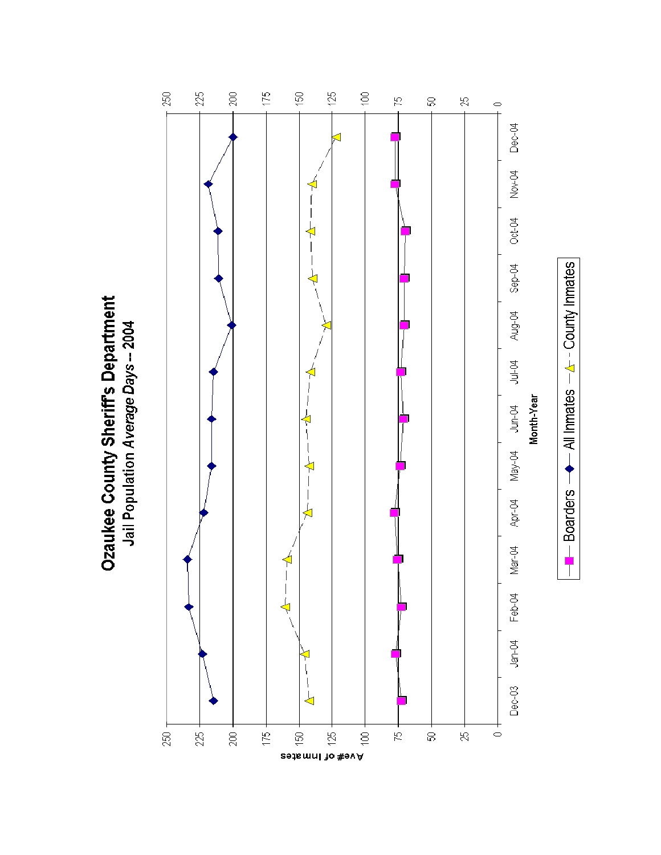**Ozaukee County Sheriff's Department** Jail Population Average Days -- 2004

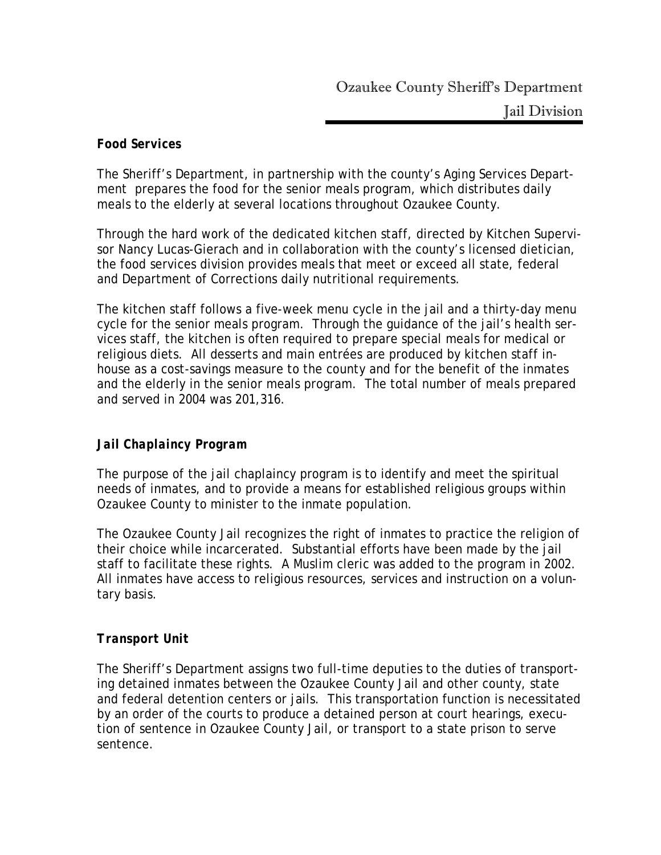## *Food Services*

The Sheriff's Department, in partnership with the county's Aging Services Department prepares the food for the senior meals program, which distributes daily meals to the elderly at several locations throughout Ozaukee County.

Through the hard work of the dedicated kitchen staff, directed by Kitchen Supervisor Nancy Lucas-Gierach and in collaboration with the county's licensed dietician, the food services division provides meals that meet or exceed all state, federal and Department of Corrections daily nutritional requirements.

The kitchen staff follows a five-week menu cycle in the jail and a thirty-day menu cycle for the senior meals program. Through the guidance of the jail's health services staff, the kitchen is often required to prepare special meals for medical or religious diets. All desserts and main entrées are produced by kitchen staff inhouse as a cost-savings measure to the county and for the benefit of the inmates and the elderly in the senior meals program. The total number of meals prepared and served in 2004 was 201,316.

## *Jail Chaplaincy Program*

The purpose of the jail chaplaincy program is to identify and meet the spiritual needs of inmates, and to provide a means for established religious groups within Ozaukee County to minister to the inmate population.

The Ozaukee County Jail recognizes the right of inmates to practice the religion of their choice while incarcerated. Substantial efforts have been made by the jail staff to facilitate these rights. A Muslim cleric was added to the program in 2002. All inmates have access to religious resources, services and instruction on a voluntary basis.

### *Transport Unit*

The Sheriff's Department assigns two full-time deputies to the duties of transporting detained inmates between the Ozaukee County Jail and other county, state and federal detention centers or jails. This transportation function is necessitated by an order of the courts to produce a detained person at court hearings, execution of sentence in Ozaukee County Jail, or transport to a state prison to serve sentence.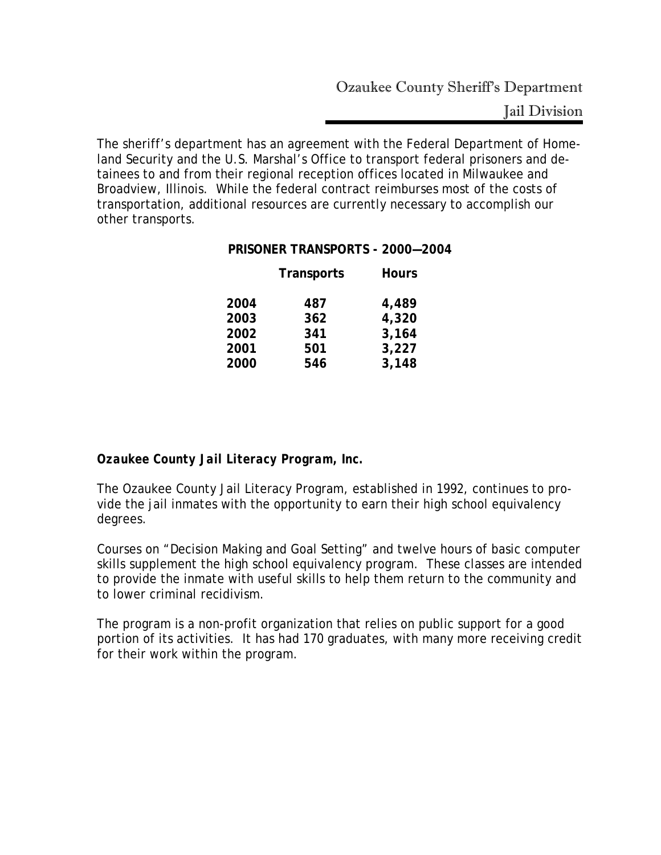Jail Division

The sheriff's department has an agreement with the Federal Department of Homeland Security and the U.S. Marshal's Office to transport federal prisoners and detainees to and from their regional reception offices located in Milwaukee and Broadview, Illinois. While the federal contract reimburses most of the costs of transportation, additional resources are currently necessary to accomplish our other transports.

#### **PRISONER TRANSPORTS - 2000—2004**

|      | <b>Transports</b> | <b>Hours</b> |
|------|-------------------|--------------|
| 2004 | 487               | 4,489        |
| 2003 | 362               | 4,320        |
| 2002 | 341               | 3,164        |
| 2001 | 501               | 3,227        |
| 2000 | 546               | 3,148        |
|      |                   |              |

*Ozaukee County Jail Literacy Program, Inc.* 

The Ozaukee County Jail Literacy Program, established in 1992, continues to provide the jail inmates with the opportunity to earn their high school equivalency degrees.

Courses on "Decision Making and Goal Setting" and twelve hours of basic computer skills supplement the high school equivalency program. These classes are intended to provide the inmate with useful skills to help them return to the community and to lower criminal recidivism.

The program is a non-profit organization that relies on public support for a good portion of its activities. It has had 170 graduates, with many more receiving credit for their work within the program.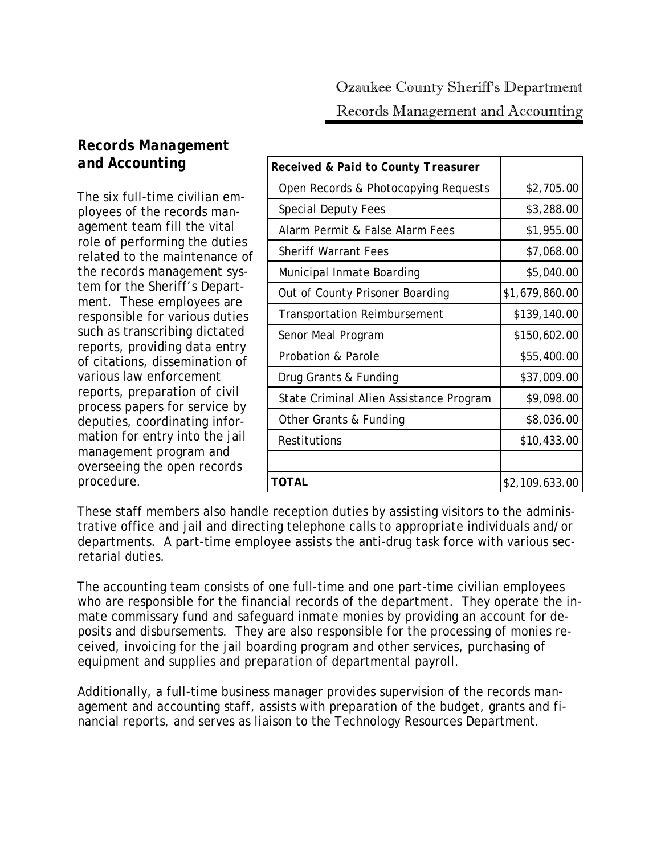# *Records Management and Accounting*

The six full-time civilian employees of the records management team fill the vital role of performing the duties related to the maintenance of the records management system for the Sheriff's Department. These employees are responsible for various duties such as transcribing dictated reports, providing data entry of citations, dissemination of various law enforcement reports, preparation of civil process papers for service by deputies, coordinating information for entry into the jail management program and overseeing the open records procedure.

| Received & Paid to County Treasurer     |                |
|-----------------------------------------|----------------|
| Open Records & Photocopying Requests    | \$2,705.00     |
| <b>Special Deputy Fees</b>              | \$3,288.00     |
| Alarm Permit & False Alarm Fees         | \$1,955.00     |
| <b>Sheriff Warrant Fees</b>             | \$7,068.00     |
| Municipal Inmate Boarding               | \$5,040.00     |
| Out of County Prisoner Boarding         | \$1,679,860.00 |
| <b>Transportation Reimbursement</b>     | \$139,140.00   |
| Senor Meal Program                      | \$150,602.00   |
| Probation & Parole                      | \$55,400.00    |
| Drug Grants & Funding                   | \$37,009.00    |
| State Criminal Alien Assistance Program | \$9,098.00     |
| Other Grants & Funding                  | \$8,036.00     |
| Restitutions                            | \$10,433.00    |
|                                         |                |
| TOTAL                                   | \$2,109.633.00 |

These staff members also handle reception duties by assisting visitors to the administrative office and jail and directing telephone calls to appropriate individuals and/or departments. A part-time employee assists the anti-drug task force with various secretarial duties.

The accounting team consists of one full-time and one part-time civilian employees who are responsible for the financial records of the department. They operate the inmate commissary fund and safeguard inmate monies by providing an account for deposits and disbursements. They are also responsible for the processing of monies received, invoicing for the jail boarding program and other services, purchasing of equipment and supplies and preparation of departmental payroll.

Additionally, a full-time business manager provides supervision of the records management and accounting staff, assists with preparation of the budget, grants and financial reports, and serves as liaison to the Technology Resources Department.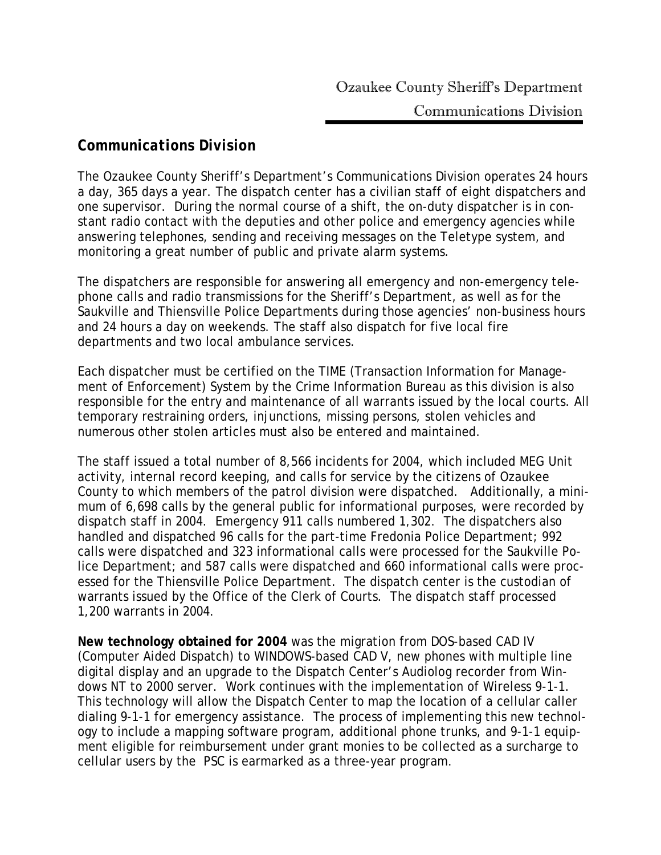## *Communications Division*

The Ozaukee County Sheriff's Department's Communications Division operates 24 hours a day, 365 days a year. The dispatch center has a civilian staff of eight dispatchers and one supervisor. During the normal course of a shift, the on-duty dispatcher is in constant radio contact with the deputies and other police and emergency agencies while answering telephones, sending and receiving messages on the Teletype system, and monitoring a great number of public and private alarm systems.

The dispatchers are responsible for answering all emergency and non-emergency telephone calls and radio transmissions for the Sheriff's Department, as well as for the Saukville and Thiensville Police Departments during those agencies' non-business hours and 24 hours a day on weekends. The staff also dispatch for five local fire departments and two local ambulance services.

Each dispatcher must be certified on the TIME (Transaction Information for Management of Enforcement) System by the Crime Information Bureau as this division is also responsible for the entry and maintenance of all warrants issued by the local courts. All temporary restraining orders, injunctions, missing persons, stolen vehicles and numerous other stolen articles must also be entered and maintained.

The staff issued a total number of 8,566 incidents for 2004, which included MEG Unit activity, internal record keeping, and calls for service by the citizens of Ozaukee County to which members of the patrol division were dispatched. Additionally, a minimum of 6,698 calls by the general public for informational purposes, were recorded by dispatch staff in 2004. Emergency 911 calls numbered 1,302. The dispatchers also handled and dispatched 96 calls for the part-time Fredonia Police Department; 992 calls were dispatched and 323 informational calls were processed for the Saukville Police Department; and 587 calls were dispatched and 660 informational calls were processed for the Thiensville Police Department. The dispatch center is the custodian of warrants issued by the Office of the Clerk of Courts. The dispatch staff processed 1,200 warrants in 2004.

**New technology obtained for 2004** was the migration from DOS-based CAD IV (Computer Aided Dispatch) to WINDOWS-based CAD V, new phones with multiple line digital display and an upgrade to the Dispatch Center's Audiolog recorder from Windows NT to 2000 server. Work continues with the implementation of Wireless 9-1-1. This technology will allow the Dispatch Center to map the location of a cellular caller dialing 9-1-1 for emergency assistance. The process of implementing this new technology to include a mapping software program, additional phone trunks, and 9-1-1 equipment eligible for reimbursement under grant monies to be collected as a surcharge to cellular users by the PSC is earmarked as a three-year program.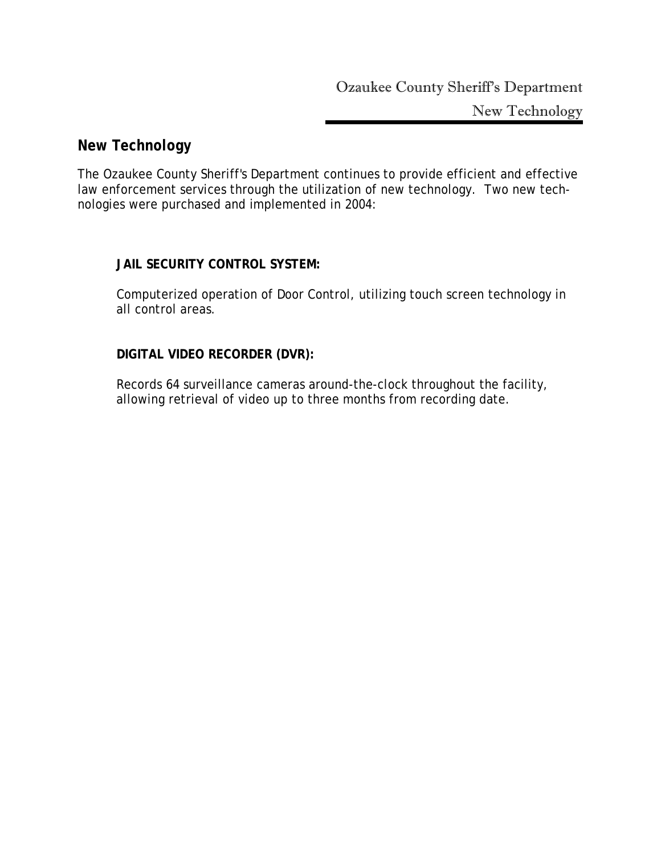## *New Technology*

The Ozaukee County Sheriff's Department continues to provide efficient and effective law enforcement services through the utilization of new technology. Two new technologies were purchased and implemented in 2004:

## **JAIL SECURITY CONTROL SYSTEM:**

Computerized operation of Door Control, utilizing touch screen technology in all control areas.

## **DIGITAL VIDEO RECORDER (DVR):**

Records 64 surveillance cameras around-the-clock throughout the facility, allowing retrieval of video up to three months from recording date.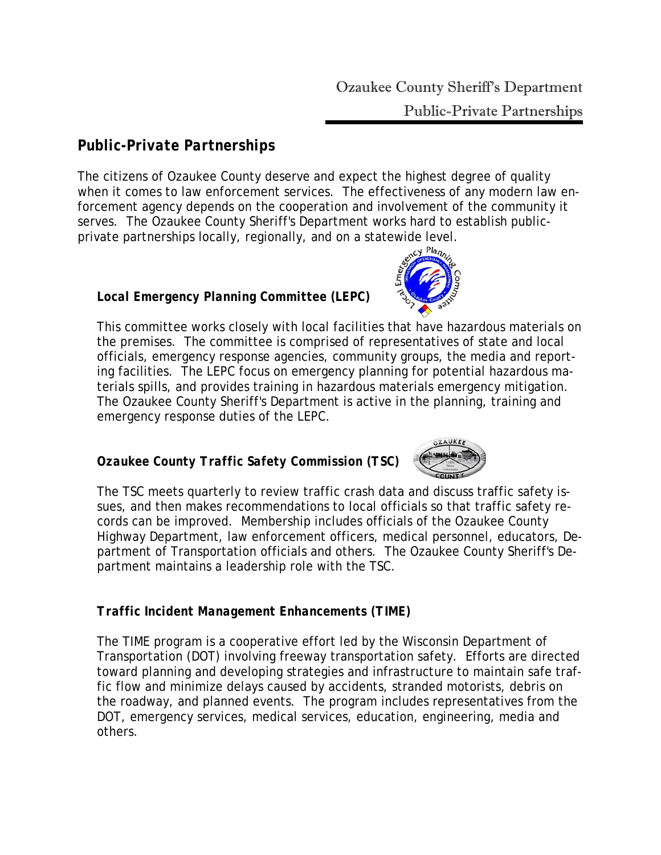# *Public-Private Partnerships*

The citizens of Ozaukee County deserve and expect the highest degree of quality when it comes to law enforcement services. The effectiveness of any modern law enforcement agency depends on the cooperation and involvement of the community it serves. The Ozaukee County Sheriff's Department works hard to establish publicprivate partnerships locally, regionally, and on a statewide level.

# *Local Emergency Planning Committee (LEPC)*

This committee works closely with local facilities that have hazardous materials on the premises. The committee is comprised of representatives of state and local officials, emergency response agencies, community groups, the media and reporting facilities. The LEPC focus on emergency planning for potential hazardous materials spills, and provides training in hazardous materials emergency mitigation. The Ozaukee County Sheriff's Department is active in the planning, training and emergency response duties of the LEPC.

# *Ozaukee County Traffic Safety Commission (TSC)*

The TSC meets quarterly to review traffic crash data and discuss traffic safety issues, and then makes recommendations to local officials so that traffic safety records can be improved. Membership includes officials of the Ozaukee County Highway Department, law enforcement officers, medical personnel, educators, Department of Transportation officials and others. The Ozaukee County Sheriff's Department maintains a leadership role with the TSC.

## *Traffic Incident Management Enhancements (TIME)*

The TIME program is a cooperative effort led by the Wisconsin Department of Transportation (DOT) involving freeway transportation safety. Efforts are directed toward planning and developing strategies and infrastructure to maintain safe traffic flow and minimize delays caused by accidents, stranded motorists, debris on the roadway, and planned events. The program includes representatives from the DOT, emergency services, medical services, education, engineering, media and others.

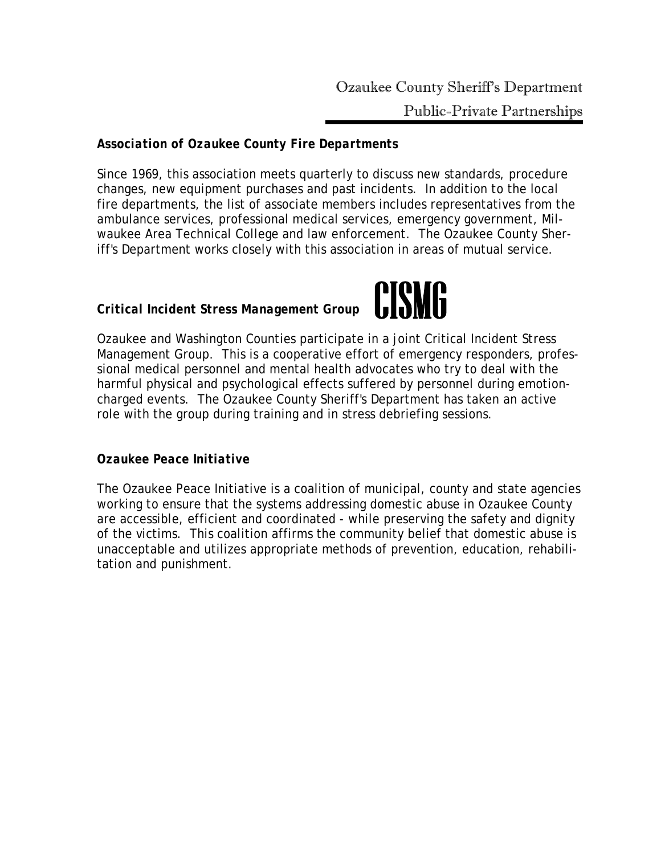# *Association of Ozaukee County Fire Departments*

Since 1969, this association meets quarterly to discuss new standards, procedure changes, new equipment purchases and past incidents. In addition to the local fire departments, the list of associate members includes representatives from the ambulance services, professional medical services, emergency government, Milwaukee Area Technical College and law enforcement. The Ozaukee County Sheriff's Department works closely with this association in areas of mutual service.

# *Critical Incident Stress Management Group*



Ozaukee and Washington Counties participate in a joint Critical Incident Stress Management Group. This is a cooperative effort of emergency responders, professional medical personnel and mental health advocates who try to deal with the harmful physical and psychological effects suffered by personnel during emotioncharged events. The Ozaukee County Sheriff's Department has taken an active role with the group during training and in stress debriefing sessions.

## *Ozaukee Peace Initiative*

The Ozaukee Peace Initiative is a coalition of municipal, county and state agencies working to ensure that the systems addressing domestic abuse in Ozaukee County are accessible, efficient and coordinated - while preserving the safety and dignity of the victims. This coalition affirms the community belief that domestic abuse is unacceptable and utilizes appropriate methods of prevention, education, rehabilitation and punishment.